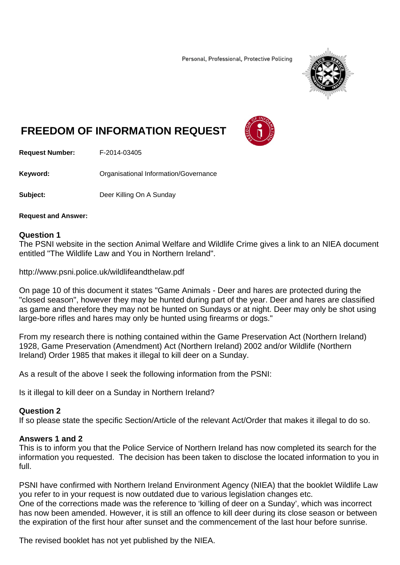Personal, Professional, Protective Policing



# **FREEDOM OF INFORMATION REQUEST**



**Request Number:** F-2014-03405

**Keyword: C**rganisational Information/Governance

**Subject:** Deer Killing On A Sunday

**Request and Answer:** 

#### **Question 1**

The PSNI website in the section Animal Welfare and Wildlife Crime gives a link to an NIEA document entitled "The Wildlife Law and You in Northern Ireland".

http://www.psni.police.uk/wildlifeandthelaw.pdf

On page 10 of this document it states "Game Animals - Deer and hares are protected during the "closed season", however they may be hunted during part of the year. Deer and hares are classified as game and therefore they may not be hunted on Sundays or at night. Deer may only be shot using large-bore rifles and hares may only be hunted using firearms or dogs."

From my research there is nothing contained within the Game Preservation Act (Northern Ireland) 1928, Game Preservation (Amendment) Act (Northern Ireland) 2002 and/or Wildlife (Northern Ireland) Order 1985 that makes it illegal to kill deer on a Sunday.

As a result of the above I seek the following information from the PSNI:

Is it illegal to kill deer on a Sunday in Northern Ireland?

### **Question 2**

If so please state the specific Section/Article of the relevant Act/Order that makes it illegal to do so.

### **Answers 1 and 2**

This is to inform you that the Police Service of Northern Ireland has now completed its search for the information you requested. The decision has been taken to disclose the located information to you in full.

PSNI have confirmed with Northern Ireland Environment Agency (NIEA) that the booklet Wildlife Law you refer to in your request is now outdated due to various legislation changes etc. One of the corrections made was the reference to 'killing of deer on a Sunday', which was incorrect has now been amended. However, it is still an offence to kill deer during its close season or between the expiration of the first hour after sunset and the commencement of the last hour before sunrise.

The revised booklet has not yet published by the NIEA.